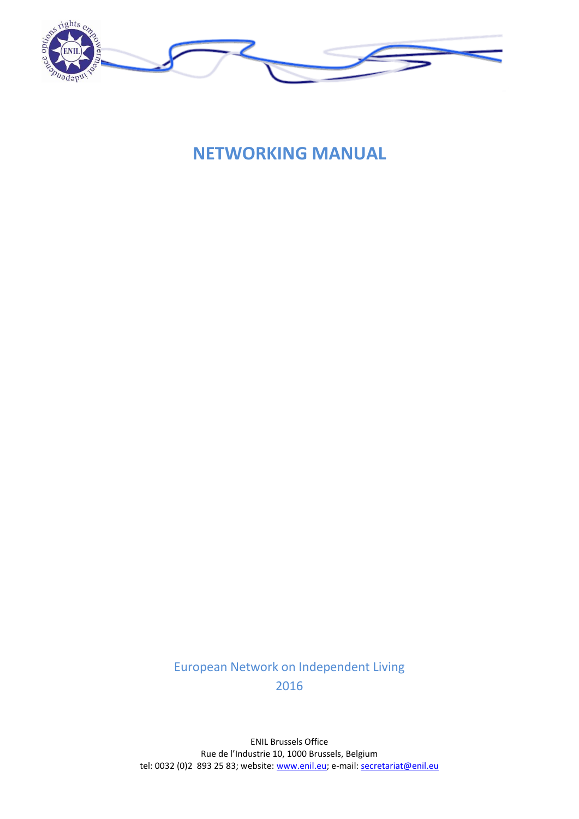

**NETWORKING MANUAL**

European Network on Independent Living 2016

ENIL Brussels Office Rue de l'Industrie 10, 1000 Brussels, Belgium tel: 0032 (0)2 893 25 83; website: www.enil.eu; e-mail: secretariat@enil.eu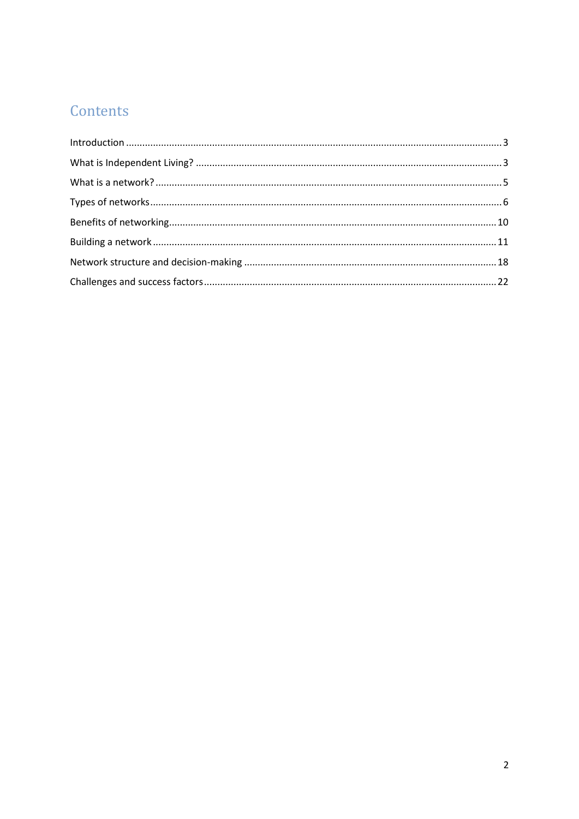# Contents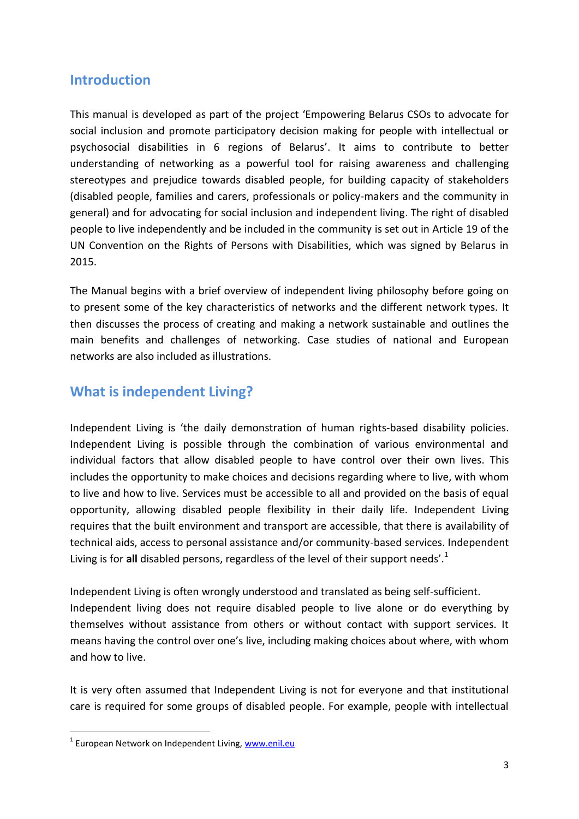### <span id="page-2-0"></span>**Introduction**

This manual is developed as part of the project 'Empowering Belarus CSOs to advocate for social inclusion and promote participatory decision making for people with intellectual or psychosocial disabilities in 6 regions of Belarus'. It aims to contribute to better understanding of networking as a powerful tool for raising awareness and challenging stereotypes and prejudice towards disabled people, for building capacity of stakeholders (disabled people, families and carers, professionals or policy-makers and the community in general) and for advocating for social inclusion and independent living. The right of disabled people to live independently and be included in the community is set out in Article 19 of the UN Convention on the Rights of Persons with Disabilities, which was signed by Belarus in 2015.

The Manual begins with a brief overview of independent living philosophy before going on to present some of the key characteristics of networks and the different network types. It then discusses the process of creating and making a network sustainable and outlines the main benefits and challenges of networking. Case studies of national and European networks are also included as illustrations.

# <span id="page-2-1"></span>**What is independent Living?**

Independent Living is 'the daily demonstration of human rights-based disability policies. Independent Living is possible through the combination of various environmental and individual factors that allow disabled people to have control over their own lives. This includes the opportunity to make choices and decisions regarding where to live, with whom to live and how to live. Services must be accessible to all and provided on the basis of equal opportunity, allowing disabled people flexibility in their daily life. Independent Living requires that the built environment and transport are accessible, that there is availability of technical aids, access to personal assistance and/or community-based services. Independent Living is for **all** disabled persons, regardless of the level of their support needs'.<sup>1</sup>

Independent Living is often wrongly understood and translated as being self-sufficient. Independent living does not require disabled people to live alone or do everything by themselves without assistance from others or without contact with support services. It means having the control over one's live, including making choices about where, with whom and how to live.

It is very often assumed that Independent Living is not for everyone and that institutional care is required for some groups of disabled people. For example, people with intellectual

**.** 

<sup>&</sup>lt;sup>1</sup> European Network on Independent Living, [www.enil.eu](http://www.enil.eu/)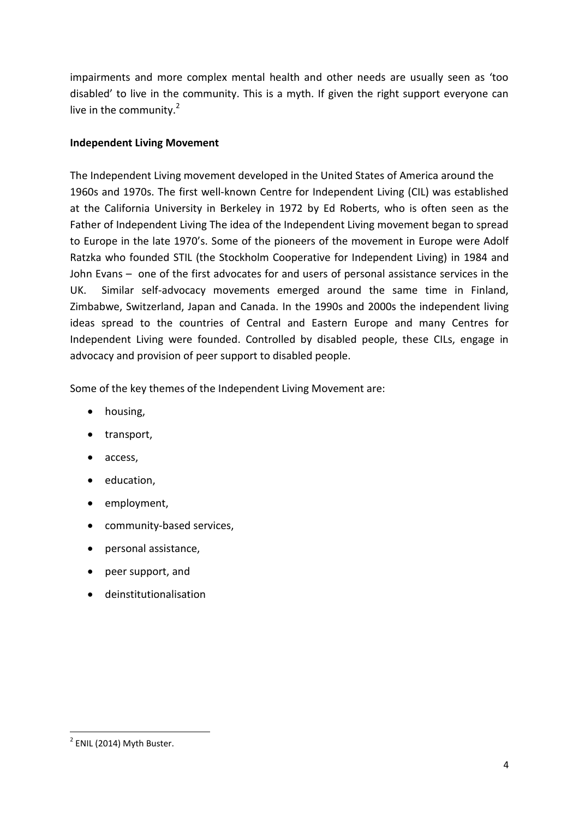impairments and more complex mental health and other needs are usually seen as 'too disabled' to live in the community. This is a myth. If given the right support everyone can live in the community. $^{2}$ 

#### **Independent Living Movement**

The Independent Living movement developed in the United States of America around the 1960s and 1970s. The first well‐known Centre for Independent Living (CIL) was established at the California University in Berkeley in 1972 by Ed Roberts, who is often seen as the Father of Independent Living The idea of the Independent Living movement began to spread to Europe in the late 1970's. Some of the pioneers of the movement in Europe were Adolf Ratzka who founded STIL (the Stockholm Cooperative for Independent Living) in 1984 and John Evans – one of the first advocates for and users of personal assistance services in the UK. Similar self‐advocacy movements emerged around the same time in Finland, Zimbabwe, Switzerland, Japan and Canada. In the 1990s and 2000s the independent living ideas spread to the countries of Central and Eastern Europe and many Centres for Independent Living were founded. Controlled by disabled people, these CILs, engage in advocacy and provision of peer support to disabled people.

Some of the key themes of the Independent Living Movement are:

- housing,
- transport,
- access,
- education,
- employment,
- community-based services,
- personal assistance,
- peer support, and
- deinstitutionalisation

**.** 

 $2$  ENIL (2014) Myth Buster.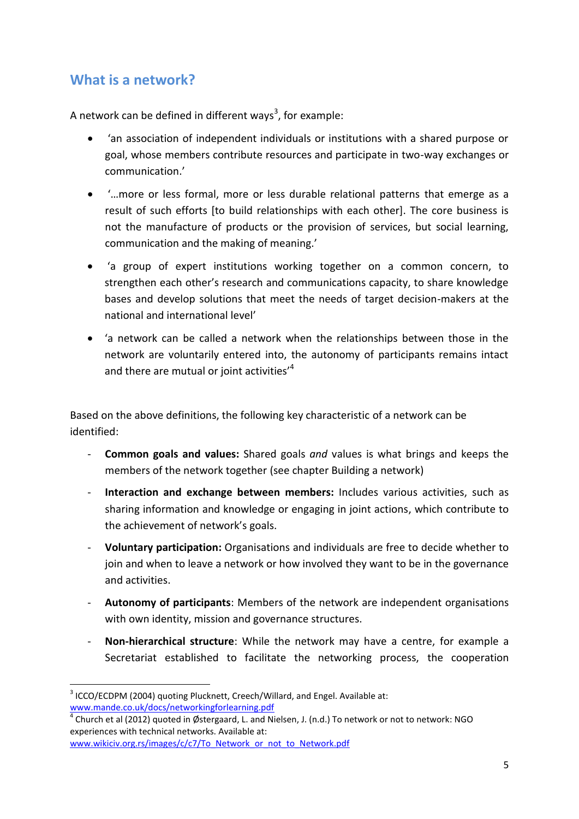# <span id="page-4-0"></span>**What is a network?**

A network can be defined in different ways<sup>3</sup>, for example:

- 'an association of independent individuals or institutions with a shared purpose or goal, whose members contribute resources and participate in two-way exchanges or communication.'
- '…more or less formal, more or less durable relational patterns that emerge as a result of such efforts [to build relationships with each other]. The core business is not the manufacture of products or the provision of services, but social learning, communication and the making of meaning.'
- 'a group of expert institutions working together on a common concern, to strengthen each other's research and communications capacity, to share knowledge bases and develop solutions that meet the needs of target decision-makers at the national and international level'
- 'a network can be called a network when the relationships between those in the network are voluntarily entered into, the autonomy of participants remains intact and there are mutual or joint activities'<sup>4</sup>

Based on the above definitions, the following key characteristic of a network can be identified:

- **Common goals and values:** Shared goals *and* values is what brings and keeps the members of the network together (see chapter Building a network)
- **Interaction and exchange between members:** Includes various activities, such as sharing information and knowledge or engaging in joint actions, which contribute to the achievement of network's goals.
- **Voluntary participation:** Organisations and individuals are free to decide whether to join and when to leave a network or how involved they want to be in the governance and activities.
- **Autonomy of participants**: Members of the network are independent organisations with own identity, mission and governance structures.
- **Non-hierarchical structure**: While the network may have a centre, for example a Secretariat established to facilitate the networking process, the cooperation

 $\overline{a}$ 

 $3$  ICCO/ECDPM (2004) quoting Plucknett, Creech/Willard, and Engel. Available at: [www.mande.co.uk/docs/networkingforlearning.pdf](http://www.mande.co.uk/docs/networkingforlearning.pdf)

 $^4$  Church et al (2012) quoted in Østergaard, L. and Nielsen, J. (n.d.) To network or not to network: NGO experiences with technical networks. Available at: [www.wikiciv.org.rs/images/c/c7/To\\_Network\\_or\\_not\\_to\\_Network.pdf](http://www.wikiciv.org.rs/images/c/c7/To_Network_or_not_to_Network.pdf)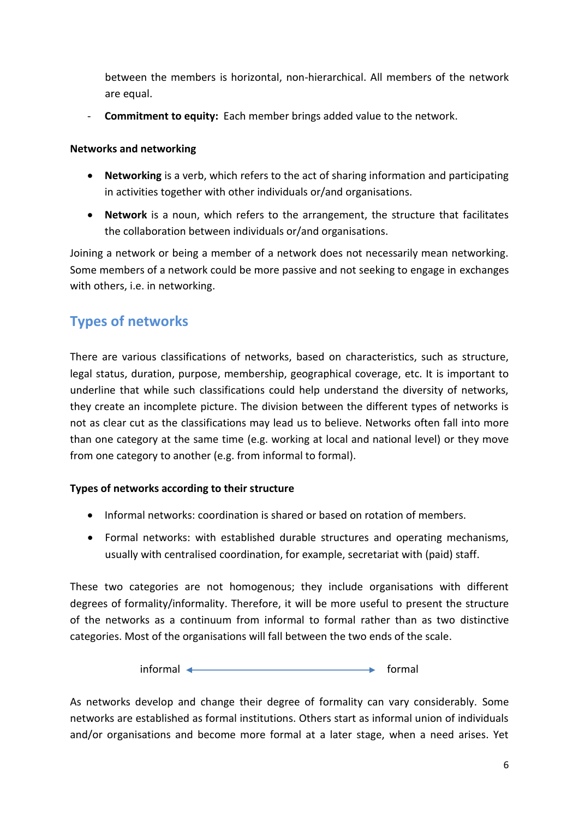between the members is horizontal, non-hierarchical. All members of the network are equal.

- **Commitment to equity:** Each member brings added value to the network.

#### **Networks and networking**

- **Networking** is a verb, which refers to the act of sharing information and participating in activities together with other individuals or/and organisations.
- **Network** is a noun, which refers to the arrangement, the structure that facilitates the collaboration between individuals or/and organisations.

Joining a network or being a member of a network does not necessarily mean networking. Some members of a network could be more passive and not seeking to engage in exchanges with others, i.e. in networking.

# <span id="page-5-0"></span>**Types of networks**

There are various classifications of networks, based on characteristics, such as structure, legal status, duration, purpose, membership, geographical coverage, etc. It is important to underline that while such classifications could help understand the diversity of networks, they create an incomplete picture. The division between the different types of networks is not as clear cut as the classifications may lead us to believe. Networks often fall into more than one category at the same time (e.g. working at local and national level) or they move from one category to another (e.g. from informal to formal).

#### **Types of networks according to their structure**

- Informal networks: coordination is shared or based on rotation of members.
- Formal networks: with established durable structures and operating mechanisms, usually with centralised coordination, for example, secretariat with (paid) staff.

These two categories are not homogenous; they include organisations with different degrees of formality/informality. Therefore, it will be more useful to present the structure of the networks as a continuum from informal to formal rather than as two distinctive categories. Most of the organisations will fall between the two ends of the scale.

 $informal \leftarrow \qquad \qquad \longrightarrow \qquad \qquad \text{formal}$ 

As networks develop and change their degree of formality can vary considerably. Some networks are established as formal institutions. Others start as informal union of individuals and/or organisations and become more formal at a later stage, when a need arises. Yet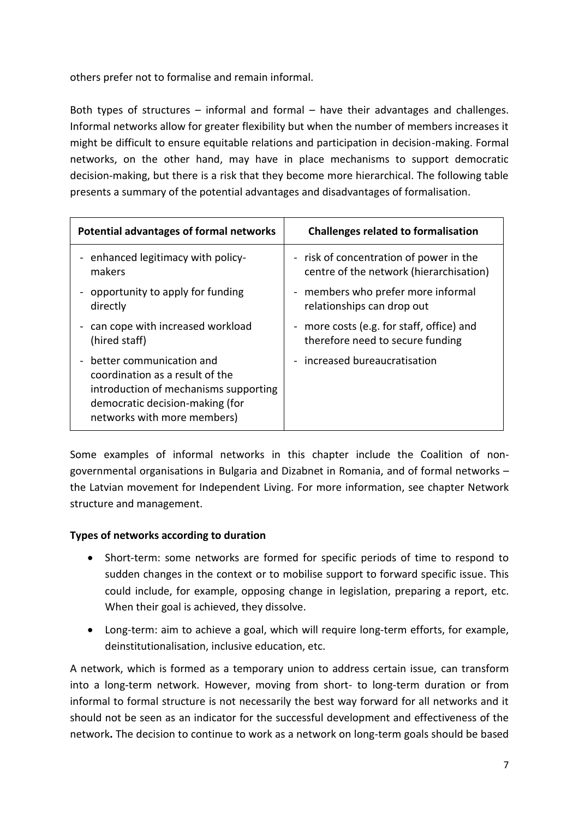others prefer not to formalise and remain informal.

Both types of structures – informal and formal – have their advantages and challenges. Informal networks allow for greater flexibility but when the number of members increases it might be difficult to ensure equitable relations and participation in decision-making. Formal networks, on the other hand, may have in place mechanisms to support democratic decision-making, but there is a risk that they become more hierarchical. The following table presents a summary of the potential advantages and disadvantages of formalisation.

| Potential advantages of formal networks                                                                                                                                | <b>Challenges related to formalisation</b> |
|------------------------------------------------------------------------------------------------------------------------------------------------------------------------|--------------------------------------------|
| - enhanced legitimacy with policy-                                                                                                                                     | - risk of concentration of power in the    |
| makers                                                                                                                                                                 | centre of the network (hierarchisation)    |
| opportunity to apply for funding                                                                                                                                       | - members who prefer more informal         |
| directly                                                                                                                                                               | relationships can drop out                 |
| - can cope with increased workload                                                                                                                                     | - more costs (e.g. for staff, office) and  |
| (hired staff)                                                                                                                                                          | therefore need to secure funding           |
| better communication and<br>coordination as a result of the<br>introduction of mechanisms supporting<br>democratic decision-making (for<br>networks with more members) | - increased bureaucratisation              |

Some examples of informal networks in this chapter include the Coalition of nongovernmental organisations in Bulgaria and Dizabnet in Romania, and of formal networks – the Latvian movement for Independent Living. For more information, see chapter Network structure and management.

#### **Types of networks according to duration**

- Short-term: some networks are formed for specific periods of time to respond to sudden changes in the context or to mobilise support to forward specific issue. This could include, for example, opposing change in legislation, preparing a report, etc. When their goal is achieved, they dissolve.
- Long-term: aim to achieve a goal, which will require long-term efforts, for example, deinstitutionalisation, inclusive education, etc.

A network, which is formed as a temporary union to address certain issue, can transform into a long-term network. However, moving from short- to long-term duration or from informal to formal structure is not necessarily the best way forward for all networks and it should not be seen as an indicator for the successful development and effectiveness of the network**.** The decision to continue to work as a network on long-term goals should be based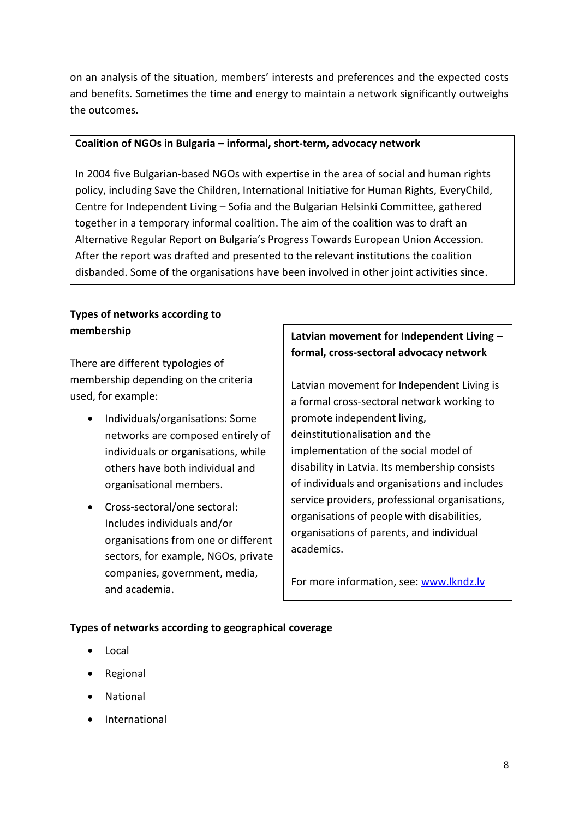on an analysis of the situation, members' interests and preferences and the expected costs and benefits. Sometimes the time and energy to maintain a network significantly outweighs the outcomes.

#### **Coalition of NGOs in Bulgaria – informal, short-term, advocacy network**

In 2004 five Bulgarian-based NGOs with expertise in the area of social and human rights policy, including Save the Children, International Initiative for Human Rights, EveryChild, Centre for Independent Living – Sofia and the Bulgarian Helsinki Committee, gathered together in a temporary informal coalition. The aim of the coalition was to draft an Alternative Regular Report on Bulgaria's Progress Towards European Union Accession. After the report was drafted and presented to the relevant institutions the coalition disbanded. Some of the organisations have been involved in other joint activities since.

### **Types of networks according to membership**

There are different typologies of membership depending on the criteria used, for example:

- Individuals/organisations: Some networks are composed entirely of individuals or organisations, while others have both individual and organisational members.
- Cross-sectoral/one sectoral: Includes individuals and/or organisations from one or different sectors, for example, NGOs, private companies, government, media, and academia.

### **Latvian movement for Independent Living – formal, cross-sectoral advocacy network**

Latvian movement for Independent Living is a formal cross-sectoral network working to promote independent living, deinstitutionalisation and the implementation of the social model of disability in Latvia. Its membership consists of individuals and organisations and includes service providers, professional organisations, organisations of people with disabilities, organisations of parents, and individual academics.

For more information, see: [www.lkndz.lv](http://www.lkndz.lv/)

#### **Types of networks according to geographical coverage**

- Local
- Regional
- National
- International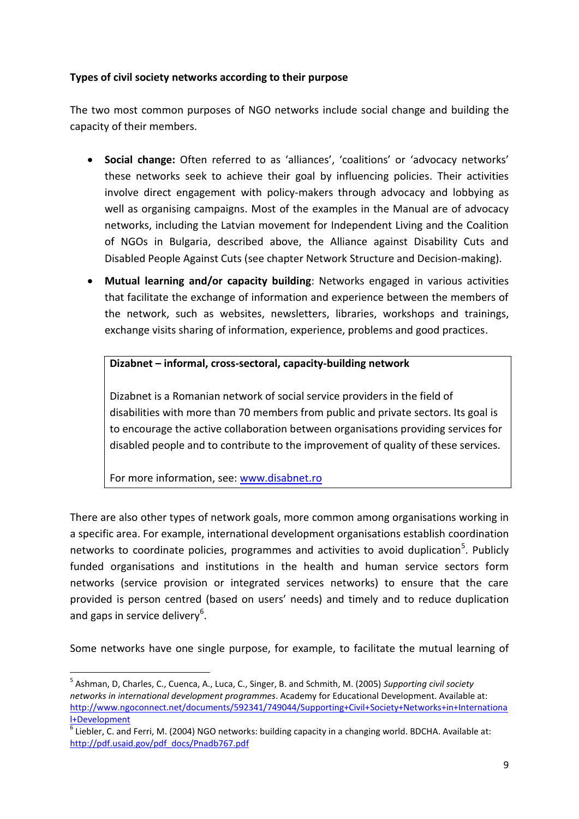#### **Types of civil society networks according to their purpose**

The two most common purposes of NGO networks include social change and building the capacity of their members.

- **Social change:** Often referred to as 'alliances', 'coalitions' or 'advocacy networks' these networks seek to achieve their goal by influencing policies. Their activities involve direct engagement with policy-makers through advocacy and lobbying as well as organising campaigns. Most of the examples in the Manual are of advocacy networks, including the Latvian movement for Independent Living and the Coalition of NGOs in Bulgaria, described above, the Alliance against Disability Cuts and Disabled People Against Cuts (see chapter Network Structure and Decision-making).
- **Mutual learning and/or capacity building**: Networks engaged in various activities that facilitate the exchange of information and experience between the members of the network, such as websites, newsletters, libraries, workshops and trainings, exchange visits sharing of information, experience, problems and good practices.

#### **Dizabnet – informal, cross-sectoral, capacity-building network**

Dizabnet is a Romanian network of social service providers in the field of disabilities with more than 70 members from public and private sectors. Its goal is to encourage the active collaboration between organisations providing services for disabled people and to contribute to the improvement of quality of these services.

For more information, see: [www.disabnet.ro](http://www.disabnet.ro/)

There are also other types of network goals, more common among organisations working in a specific area. For example, international development organisations establish coordination networks to coordinate policies, programmes and activities to avoid duplication<sup>5</sup>. Publicly funded organisations and institutions in the health and human service sectors form networks (service provision or integrated services networks) to ensure that the care provided is person centred (based on users' needs) and timely and to reduce duplication and gaps in service delivery<sup>6</sup>.

Some networks have one single purpose, for example, to facilitate the mutual learning of

**<sup>.</sup>** 5 Ashman, D, Charles, C., Cuenca, A., Luca, C., Singer, B. and Schmith, M. (2005) *Supporting civil society networks in international development programmes*. Academy for Educational Development. Available at: [http://www.ngoconnect.net/documents/592341/749044/Supporting+Civil+Society+Networks+in+Internationa](http://www.ngoconnect.net/documents/592341/749044/Supporting+Civil+Society+Networks+in+International+Development) [l+Development](http://www.ngoconnect.net/documents/592341/749044/Supporting+Civil+Society+Networks+in+International+Development)

<sup>&</sup>lt;sup>6</sup> Liebler, C. and Ferri, M. (2004) NGO networks: building capacity in a changing world. BDCHA. Available at: [http://pdf.usaid.gov/pdf\\_docs/Pnadb767.pdf](http://pdf.usaid.gov/pdf_docs/Pnadb767.pdf)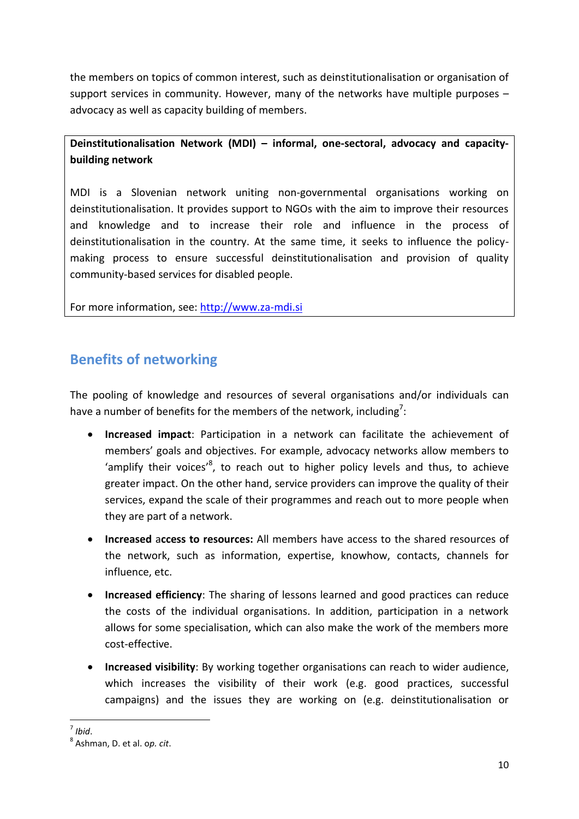the members on topics of common interest, such as deinstitutionalisation or organisation of support services in community. However, many of the networks have multiple purposes – advocacy as well as capacity building of members.

### **Deinstitutionalisation Network (MDI) – informal, one-sectoral, advocacy and capacitybuilding network**

MDI is a Slovenian network uniting non-governmental organisations working on deinstitutionalisation. It provides support to NGOs with the aim to improve their resources and knowledge and to increase their role and influence in the process of deinstitutionalisation in the country. At the same time, it seeks to influence the policymaking process to ensure successful deinstitutionalisation and provision of quality community-based services for disabled people.

For more information, see: [http://www.za-mdi.si](http://www.za-mdi.si/)

# <span id="page-9-0"></span>**Benefits of networking**

The pooling of knowledge and resources of several organisations and/or individuals can have a number of benefits for the members of the network, including<sup>7</sup>:

- **Increased impact**: Participation in a network can facilitate the achievement of members' goals and objectives. For example, advocacy networks allow members to 'amplify their voices'<sup>8</sup>, to reach out to higher policy levels and thus, to achieve greater impact. On the other hand, service providers can improve the quality of their services, expand the scale of their programmes and reach out to more people when they are part of a network.
- **Increased** a**ccess to resources:** All members have access to the shared resources of the network, such as information, expertise, knowhow, contacts, channels for influence, etc.
- **Increased efficiency**: The sharing of lessons learned and good practices can reduce the costs of the individual organisations. In addition, participation in a network allows for some specialisation, which can also make the work of the members more cost-effective.
- **Increased visibility**: By working together organisations can reach to wider audience, which increases the visibility of their work (e.g. good practices, successful campaigns) and the issues they are working on (e.g. deinstitutionalisation or

 7 *Ibid*.

<sup>8</sup> Ashman, D. et al. o*p. cit*.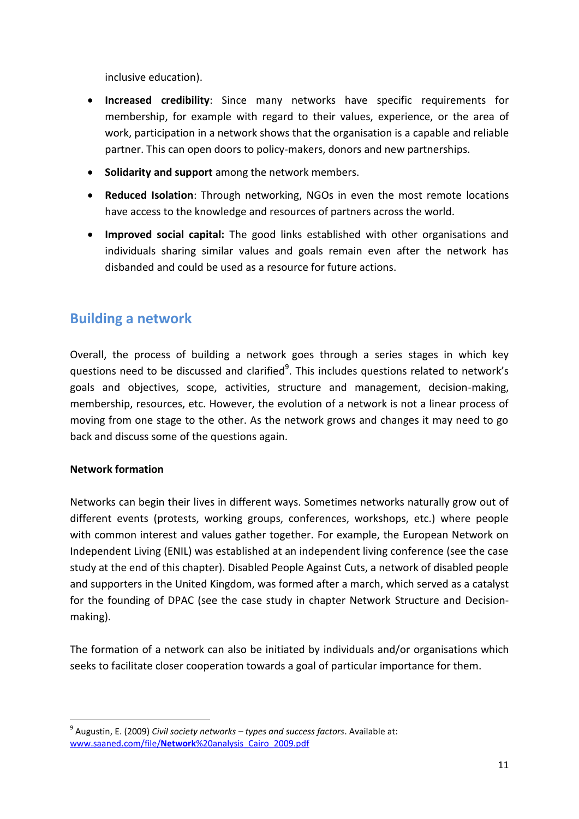inclusive education).

- **Increased credibility**: Since many networks have specific requirements for membership, for example with regard to their values, experience, or the area of work, participation in a network shows that the organisation is a capable and reliable partner. This can open doors to policy-makers, donors and new partnerships.
- **Solidarity and support** among the network members.
- **Reduced Isolation**: Through networking, NGOs in even the most remote locations have access to the knowledge and resources of partners across the world.
- **Improved social capital:** The good links established with other organisations and individuals sharing similar values and goals remain even after the network has disbanded and could be used as a resource for future actions.

# <span id="page-10-0"></span>**Building a network**

Overall, the process of building a network goes through a series stages in which key questions need to be discussed and clarified<sup>9</sup>. This includes questions related to network's goals and objectives, scope, activities, structure and management, decision-making, membership, resources, etc. However, the evolution of a network is not a linear process of moving from one stage to the other. As the network grows and changes it may need to go back and discuss some of the questions again.

#### **Network formation**

Networks can begin their lives in different ways. Sometimes networks naturally grow out of different events (protests, working groups, conferences, workshops, etc.) where people with common interest and values gather together. For example, the European Network on Independent Living (ENIL) was established at an independent living conference (see the case study at the end of this chapter). Disabled People Against Cuts, a network of disabled people and supporters in the United Kingdom, was formed after a march, which served as a catalyst for the founding of DPAC (see the case study in chapter Network Structure and Decisionmaking).

The formation of a network can also be initiated by individuals and/or organisations which seeks to facilitate closer cooperation towards a goal of particular importance for them.

<sup>1</sup> 9 Augustin, E. (2009) *Civil society networks – types and success factors*. Available at: www.saaned.com/file/**Network**[%20analysis\\_Cairo\\_2009.pdf](http://www.saaned.com/file/Network%20analysis_Cairo_2009.pdf)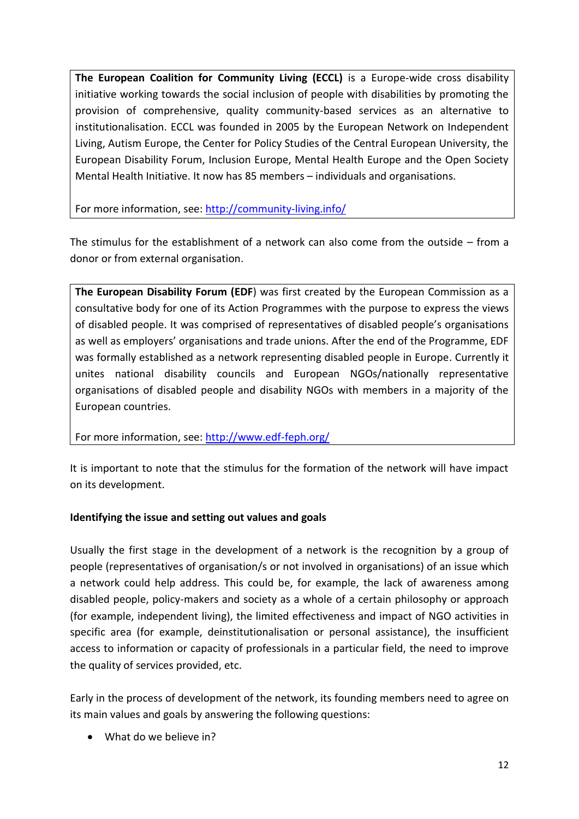**The European Coalition for Community Living (ECCL)** is a Europe-wide cross disability initiative working towards the social inclusion of people with disabilities by promoting the provision of comprehensive, quality community-based services as an alternative to institutionalisation. ECCL was founded in 2005 by the European Network on Independent Living, Autism Europe, the Center for Policy Studies of the Central European University, the European Disability Forum, Inclusion Europe, Mental Health Europe and the Open Society Mental Health Initiative. It now has 85 members – individuals and organisations.

For more information, see:<http://community-living.info/>

The stimulus for the establishment of a network can also come from the outside – from a donor or from external organisation.

**The European Disability Forum (EDF**) was first created by the European Commission as a consultative body for one of its Action Programmes with the purpose to express the views of disabled people. It was comprised of representatives of disabled people's organisations as well as employers' organisations and trade unions. After the end of the Programme, EDF was formally established as a network representing disabled people in Europe. Currently it unites national disability councils and European NGOs/nationally representative organisations of disabled people and disability NGOs with members in a majority of the European countries.

For more information, see:<http://www.edf-feph.org/>

It is important to note that the stimulus for the formation of the network will have impact on its development.

### **Identifying the issue and setting out values and goals**

Usually the first stage in the development of a network is the recognition by a group of people (representatives of organisation/s or not involved in organisations) of an issue which a network could help address. This could be, for example, the lack of awareness among disabled people, policy-makers and society as a whole of a certain philosophy or approach (for example, independent living), the limited effectiveness and impact of NGO activities in specific area (for example, deinstitutionalisation or personal assistance), the insufficient access to information or capacity of professionals in a particular field, the need to improve the quality of services provided, etc.

Early in the process of development of the network, its founding members need to agree on its main values and goals by answering the following questions:

• What do we believe in?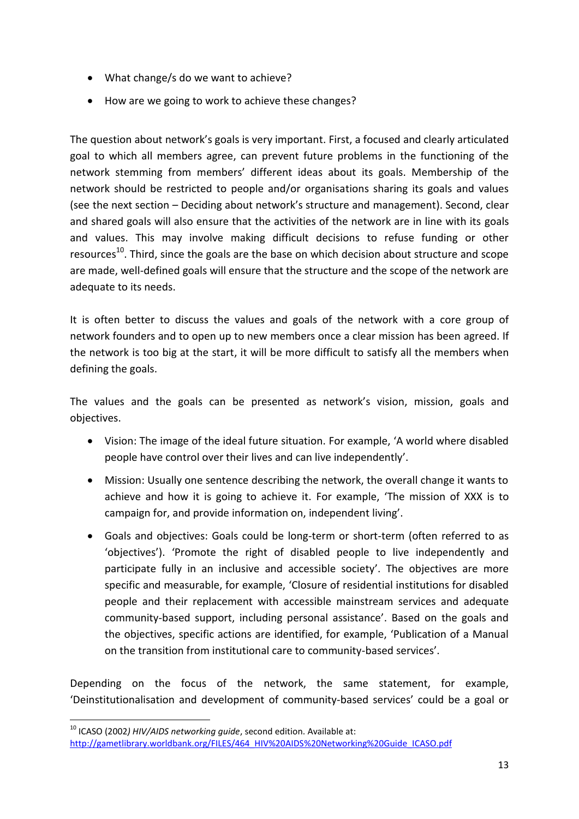- What change/s do we want to achieve?
- How are we going to work to achieve these changes?

The question about network's goals is very important. First, a focused and clearly articulated goal to which all members agree, can prevent future problems in the functioning of the network stemming from members' different ideas about its goals. Membership of the network should be restricted to people and/or organisations sharing its goals and values (see the next section – Deciding about network's structure and management). Second, clear and shared goals will also ensure that the activities of the network are in line with its goals and values. This may involve making difficult decisions to refuse funding or other resources<sup>10</sup>. Third, since the goals are the base on which decision about structure and scope are made, well-defined goals will ensure that the structure and the scope of the network are adequate to its needs.

It is often better to discuss the values and goals of the network with a core group of network founders and to open up to new members once a clear mission has been agreed. If the network is too big at the start, it will be more difficult to satisfy all the members when defining the goals.

The values and the goals can be presented as network's vision, mission, goals and objectives.

- Vision: The image of the ideal future situation. For example, 'A world where disabled people have control over their lives and can live independently'.
- Mission: Usually one sentence describing the network, the overall change it wants to achieve and how it is going to achieve it. For example, 'The mission of XXX is to campaign for, and provide information on, independent living'.
- Goals and objectives: Goals could be long-term or short-term (often referred to as 'objectives'). 'Promote the right of disabled people to live independently and participate fully in an inclusive and accessible society'. The objectives are more specific and measurable, for example, 'Closure of residential institutions for disabled people and their replacement with accessible mainstream services and adequate community-based support, including personal assistance'. Based on the goals and the objectives, specific actions are identified, for example, 'Publication of a Manual on the transition from institutional care to community-based services'.

Depending on the focus of the network, the same statement, for example, 'Deinstitutionalisation and development of community-based services' could be a goal or

<sup>1</sup> <sup>10</sup> ICASO (2002) HIV/AIDS networking guide, second edition. Available at: [http://gametlibrary.worldbank.org/FILES/464\\_HIV%20AIDS%20Networking%20Guide\\_ICASO.pdf](http://gametlibrary.worldbank.org/FILES/464_HIV%20AIDS%20Networking%20Guide_ICASO.pdf)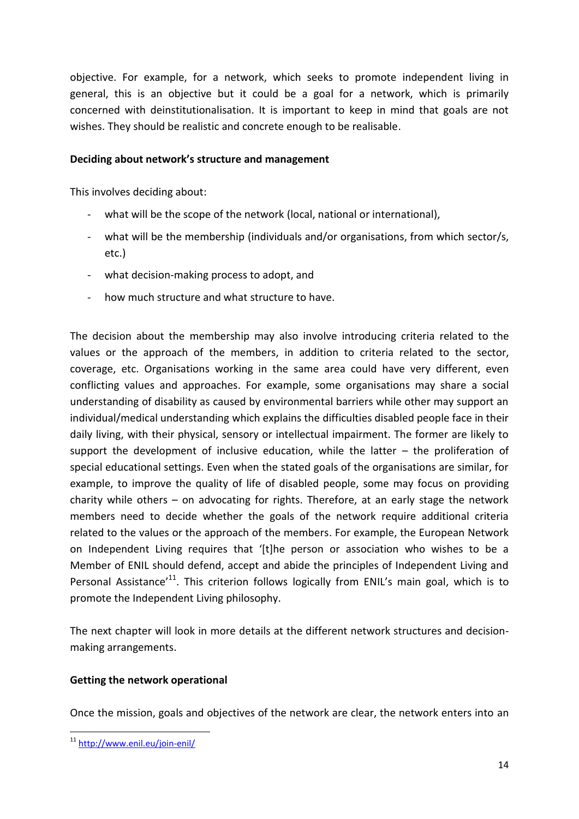objective. For example, for a network, which seeks to promote independent living in general, this is an objective but it could be a goal for a network, which is primarily concerned with deinstitutionalisation. It is important to keep in mind that goals are not wishes. They should be realistic and concrete enough to be realisable.

#### **Deciding about network's structure and management**

This involves deciding about:

- what will be the scope of the network (local, national or international),
- what will be the membership (individuals and/or organisations, from which sector/s, etc.)
- what decision-making process to adopt, and
- how much structure and what structure to have.

The decision about the membership may also involve introducing criteria related to the values or the approach of the members, in addition to criteria related to the sector, coverage, etc. Organisations working in the same area could have very different, even conflicting values and approaches. For example, some organisations may share a social understanding of disability as caused by environmental barriers while other may support an individual/medical understanding which explains the difficulties disabled people face in their daily living, with their physical, sensory or intellectual impairment. The former are likely to support the development of inclusive education, while the latter  $-$  the proliferation of special educational settings. Even when the stated goals of the organisations are similar, for example, to improve the quality of life of disabled people, some may focus on providing charity while others – on advocating for rights. Therefore, at an early stage the network members need to decide whether the goals of the network require additional criteria related to the values or the approach of the members. For example, the European Network on Independent Living requires that '[t]he person or association who wishes to be a Member of ENIL should defend, accept and abide the principles of Independent Living and Personal Assistance<sup>'11</sup>. This criterion follows logically from ENIL's main goal, which is to promote the Independent Living philosophy.

The next chapter will look in more details at the different network structures and decisionmaking arrangements.

#### **Getting the network operational**

Once the mission, goals and objectives of the network are clear, the network enters into an

**.** 

<sup>&</sup>lt;sup>11</sup> <http://www.enil.eu/join-enil/>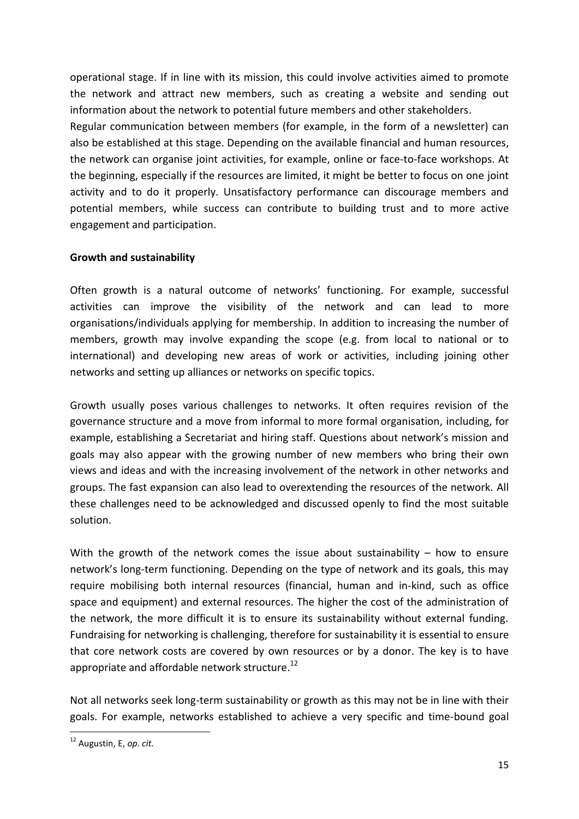operational stage. If in line with its mission, this could involve activities aimed to promote the network and attract new members, such as creating a website and sending out information about the network to potential future members and other stakeholders. Regular communication between members (for example, in the form of a newsletter) can also be established at this stage. Depending on the available financial and human resources, the network can organise joint activities, for example, online or face-to-face workshops. At the beginning, especially if the resources are limited, it might be better to focus on one joint activity and to do it properly. Unsatisfactory performance can discourage members and potential members, while success can contribute to building trust and to more active engagement and participation.

#### **Growth and sustainability**

Often growth is a natural outcome of networks' functioning. For example, successful activities can improve the visibility of the network and can lead to more organisations/individuals applying for membership. In addition to increasing the number of members, growth may involve expanding the scope (e.g. from local to national or to international) and developing new areas of work or activities, including joining other networks and setting up alliances or networks on specific topics.

Growth usually poses various challenges to networks. It often requires revision of the governance structure and a move from informal to more formal organisation, including, for example, establishing a Secretariat and hiring staff. Questions about network's mission and goals may also appear with the growing number of new members who bring their own views and ideas and with the increasing involvement of the network in other networks and groups. The fast expansion can also lead to overextending the resources of the network. All these challenges need to be acknowledged and discussed openly to find the most suitable solution.

With the growth of the network comes the issue about sustainability  $-$  how to ensure network's long-term functioning. Depending on the type of network and its goals, this may require mobilising both internal resources (financial, human and in-kind, such as office space and equipment) and external resources. The higher the cost of the administration of the network, the more difficult it is to ensure its sustainability without external funding. Fundraising for networking is challenging, therefore for sustainability it is essential to ensure that core network costs are covered by own resources or by a donor. The key is to have appropriate and affordable network structure.<sup>12</sup>

Not all networks seek long-term sustainability or growth as this may not be in line with their goals. For example, networks established to achieve a very specific and time-bound goal

**.** 

<sup>12</sup> Augustin, E, *op. cit.*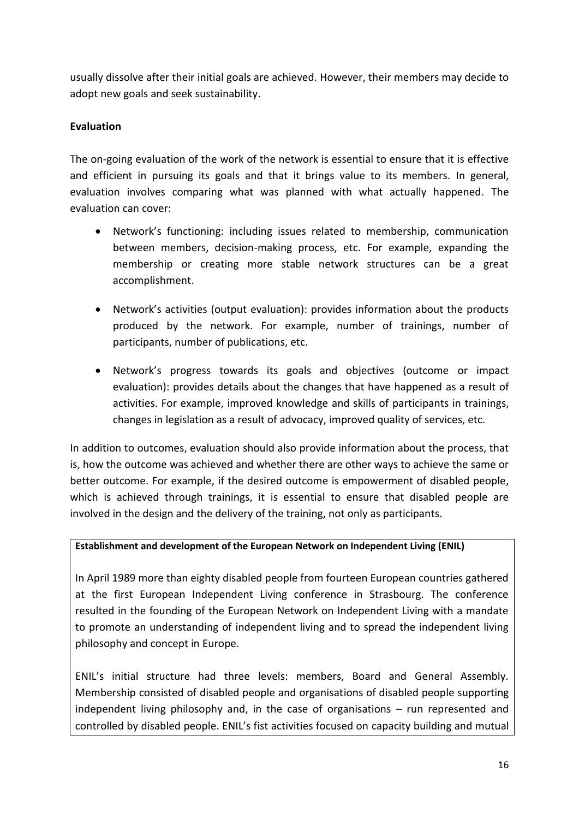usually dissolve after their initial goals are achieved. However, their members may decide to adopt new goals and seek sustainability.

#### **Evaluation**

The on-going evaluation of the work of the network is essential to ensure that it is effective and efficient in pursuing its goals and that it brings value to its members. In general, evaluation involves comparing what was planned with what actually happened. The evaluation can cover:

- Network's functioning: including issues related to membership, communication between members, decision-making process, etc. For example, expanding the membership or creating more stable network structures can be a great accomplishment.
- Network's activities (output evaluation): provides information about the products produced by the network. For example, number of trainings, number of participants, number of publications, etc.
- Network's progress towards its goals and objectives (outcome or impact evaluation): provides details about the changes that have happened as a result of activities. For example, improved knowledge and skills of participants in trainings, changes in legislation as a result of advocacy, improved quality of services, etc.

In addition to outcomes, evaluation should also provide information about the process, that is, how the outcome was achieved and whether there are other ways to achieve the same or better outcome. For example, if the desired outcome is empowerment of disabled people, which is achieved through trainings, it is essential to ensure that disabled people are involved in the design and the delivery of the training, not only as participants.

#### **Establishment and development of the European Network on Independent Living (ENIL)**

In April 1989 more than eighty disabled people from fourteen European countries gathered at the first European Independent Living conference in Strasbourg. The conference resulted in the founding of the European Network on Independent Living with a mandate to promote an understanding of independent living and to spread the independent living philosophy and concept in Europe.

ENIL's initial structure had three levels: members, Board and General Assembly. Membership consisted of disabled people and organisations of disabled people supporting independent living philosophy and, in the case of organisations – run represented and controlled by disabled people. ENIL's fist activities focused on capacity building and mutual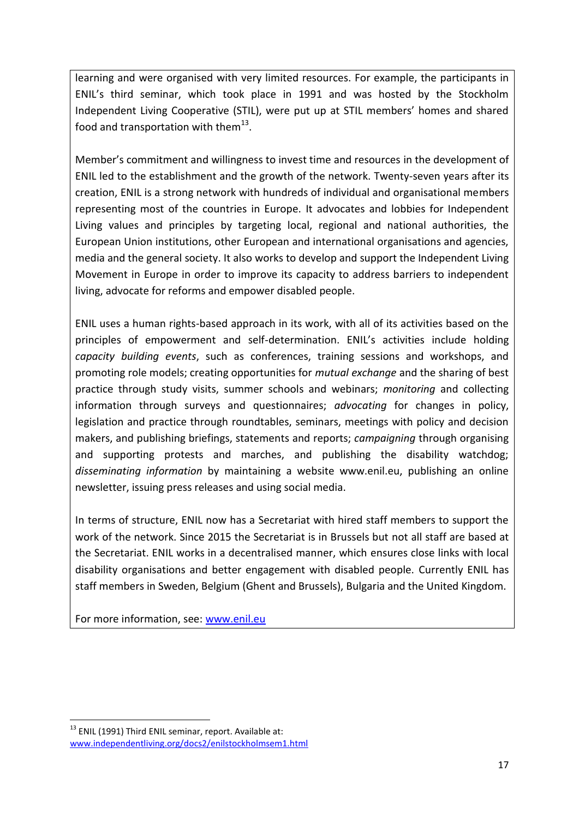learning and were organised with very limited resources. For example, the participants in ENIL's third seminar, which took place in 1991 and was hosted by the Stockholm Independent Living Cooperative (STIL), were put up at STIL members' homes and shared food and transportation with them $^{13}$ .

Member's commitment and willingness to invest time and resources in the development of ENIL led to the establishment and the growth of the network. Twenty-seven years after its creation, ENIL is a strong network with hundreds of individual and organisational members representing most of the countries in Europe. It advocates and lobbies for Independent Living values and principles by targeting local, regional and national authorities, the European Union institutions, other European and international organisations and agencies, media and the general society. It also works to develop and support the Independent Living Movement in Europe in order to improve its capacity to address barriers to independent living, advocate for reforms and empower disabled people.

ENIL uses a human rights-based approach in its work, with all of its activities based on the principles of empowerment and self-determination. ENIL's activities include holding *capacity building events*, such as conferences, training sessions and workshops, and promoting role models; creating opportunities for *mutual exchange* and the sharing of best practice through study visits, summer schools and webinars; *monitoring* and collecting information through surveys and questionnaires; *advocating* for changes in policy, legislation and practice through roundtables, seminars, meetings with policy and decision makers, and publishing briefings, statements and reports; *campaigning* through organising and supporting protests and marches, and publishing the disability watchdog; *disseminating information* by maintaining a website www.enil.eu, publishing an online newsletter, issuing press releases and using social media.

In terms of structure, ENIL now has a Secretariat with hired staff members to support the work of the network. Since 2015 the Secretariat is in Brussels but not all staff are based at the Secretariat. ENIL works in a decentralised manner, which ensures close links with local disability organisations and better engagement with disabled people. Currently ENIL has staff members in Sweden, Belgium (Ghent and Brussels), Bulgaria and the United Kingdom.

<span id="page-16-0"></span>For more information, see: [www.enil.eu](http://www.enil.eu/)

<sup>1</sup> <sup>13</sup> ENIL (1991) Third ENIL seminar, report. Available at: [www.independentliving.org/docs2/enilstockholmsem1.html](http://www.independentliving.org/docs2/enilstockholmsem1.html)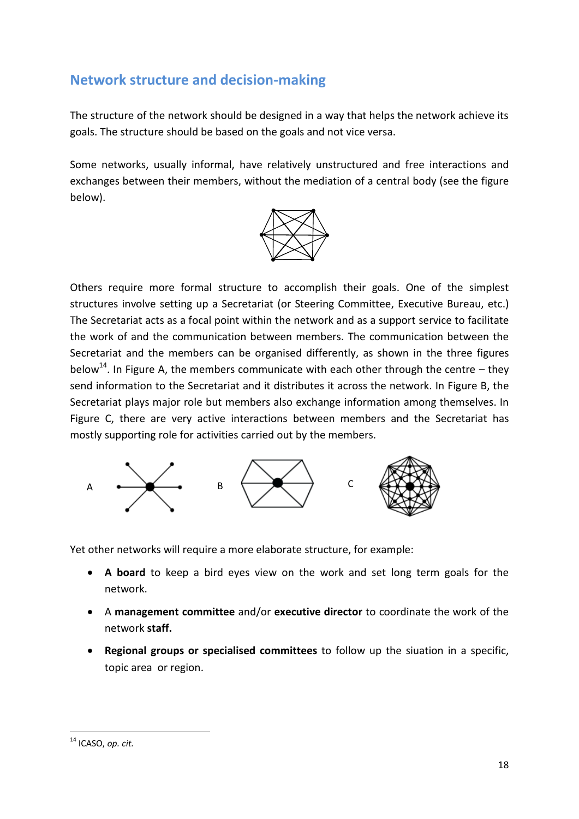# **Network structure and decision-making**

The structure of the network should be designed in a way that helps the network achieve its goals. The structure should be based on the goals and not vice versa.

Some networks, usually informal, have relatively unstructured and free interactions and exchanges between their members, without the mediation of a central body (see the figure below).



Others require more formal structure to accomplish their goals. One of the simplest structures involve setting up a Secretariat (or Steering Committee, Executive Bureau, etc.) The Secretariat acts as a focal point within the network and as a support service to facilitate the work of and the communication between members. The communication between the Secretariat and the members can be organised differently, as shown in the three figures below<sup>14</sup>. In Figure A, the members communicate with each other through the centre – they send information to the Secretariat and it distributes it across the network. In Figure B, the Secretariat plays major role but members also exchange information among themselves. In Figure C, there are very active interactions between members and the Secretariat has mostly supporting role for activities carried out by the members.



Yet other networks will require a more elaborate structure, for example:

- **A board** to keep a bird eyes view on the work and set long term goals for the network.
- A **management committee** and/or **executive director** to coordinate the work of the network **staff.**
- **Regional groups or specialised committees** to follow up the siuation in a specific, topic area or region.

**<sup>.</sup>** <sup>14</sup> ICASO, *op. cit.*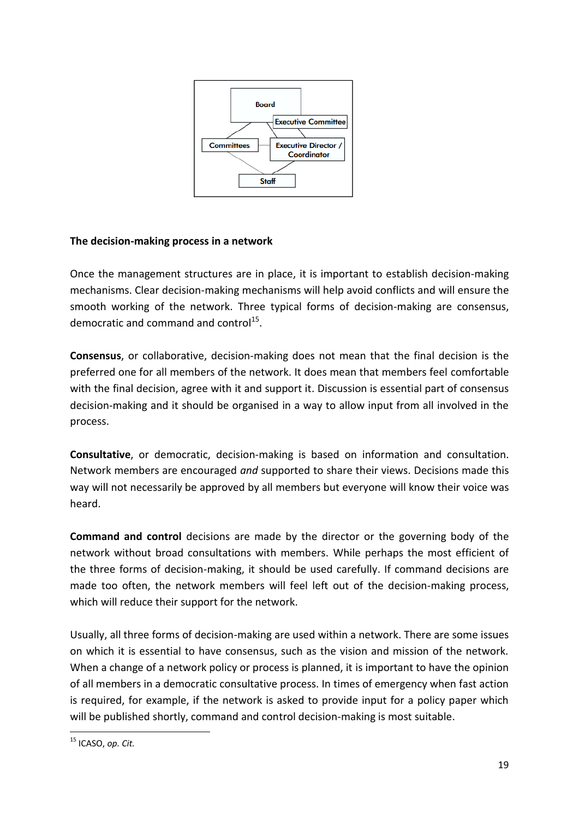

#### **The decision-making process in a network**

Once the management structures are in place, it is important to establish decision-making mechanisms. Clear decision-making mechanisms will help avoid conflicts and will ensure the smooth working of the network. Three typical forms of decision-making are consensus, democratic and command and control<sup>15</sup>.

**Consensus**, or collaborative, decision-making does not mean that the final decision is the preferred one for all members of the network. It does mean that members feel comfortable with the final decision, agree with it and support it. Discussion is essential part of consensus decision-making and it should be organised in a way to allow input from all involved in the process.

**Consultative**, or democratic, decision-making is based on information and consultation. Network members are encouraged *and* supported to share their views. Decisions made this way will not necessarily be approved by all members but everyone will know their voice was heard.

**Command and control** decisions are made by the director or the governing body of the network without broad consultations with members. While perhaps the most efficient of the three forms of decision-making, it should be used carefully. If command decisions are made too often, the network members will feel left out of the decision-making process, which will reduce their support for the network.

Usually, all three forms of decision-making are used within a network. There are some issues on which it is essential to have consensus, such as the vision and mission of the network. When a change of a network policy or process is planned, it is important to have the opinion of all members in a democratic consultative process. In times of emergency when fast action is required, for example, if the network is asked to provide input for a policy paper which will be published shortly, command and control decision-making is most suitable.

**<sup>.</sup>** <sup>15</sup> ICASO, *op. Cit.*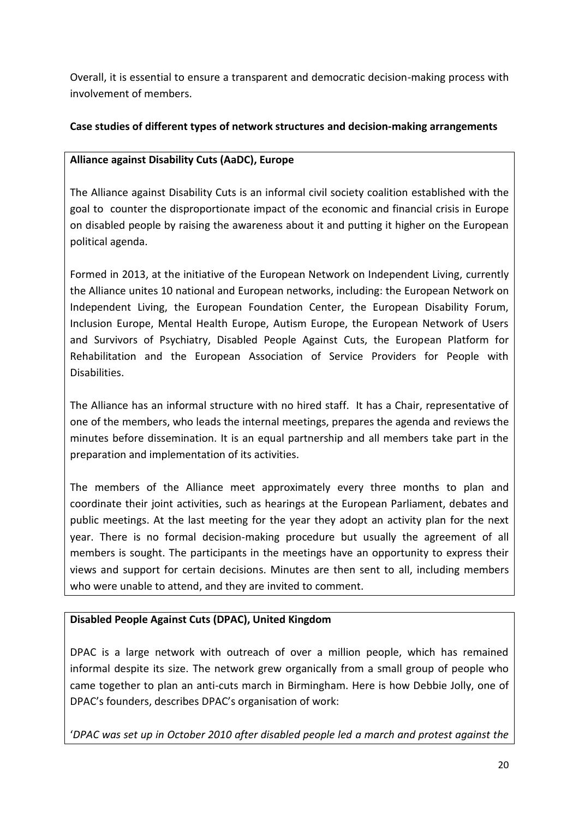Overall, it is essential to ensure a transparent and democratic decision-making process with involvement of members.

### **Case studies of different types of network structures and decision-making arrangements**

#### **Alliance against Disability Cuts (AaDC), Europe**

The Alliance against Disability Cuts is an informal civil society coalition established with the goal to counter the disproportionate impact of the economic and financial crisis in Europe on disabled people by raising the awareness about it and putting it higher on the European political agenda.

Formed in 2013, at the initiative of the European Network on Independent Living, currently the Alliance unites 10 national and European networks, including: the European Network on Independent Living, the European Foundation Center, the European Disability Forum, Inclusion Europe, Mental Health Europe, Autism Europe, the European Network of Users and Survivors of Psychiatry, Disabled People Against Cuts, the European Platform for Rehabilitation and the European Association of Service Providers for People with Disabilities.

The Alliance has an informal structure with no hired staff. It has a Chair, representative of one of the members, who leads the internal meetings, prepares the agenda and reviews the minutes before dissemination. It is an equal partnership and all members take part in the preparation and implementation of its activities.

The members of the Alliance meet approximately every three months to plan and coordinate their joint activities, such as hearings at the European Parliament, debates and public meetings. At the last meeting for the year they adopt an activity plan for the next year. There is no formal decision-making procedure but usually the agreement of all members is sought. The participants in the meetings have an opportunity to express their views and support for certain decisions. Minutes are then sent to all, including members who were unable to attend, and they are invited to comment.

### **Disabled People Against Cuts (DPAC), United Kingdom**

DPAC is a large network with outreach of over a million people, which has remained informal despite its size. The network grew organically from a small group of people who came together to plan an anti-cuts march in Birmingham. Here is how Debbie Jolly, one of DPAC's founders, describes DPAC's organisation of work:

'*DPAC was set up in October 2010 after disabled people led a march and protest against the*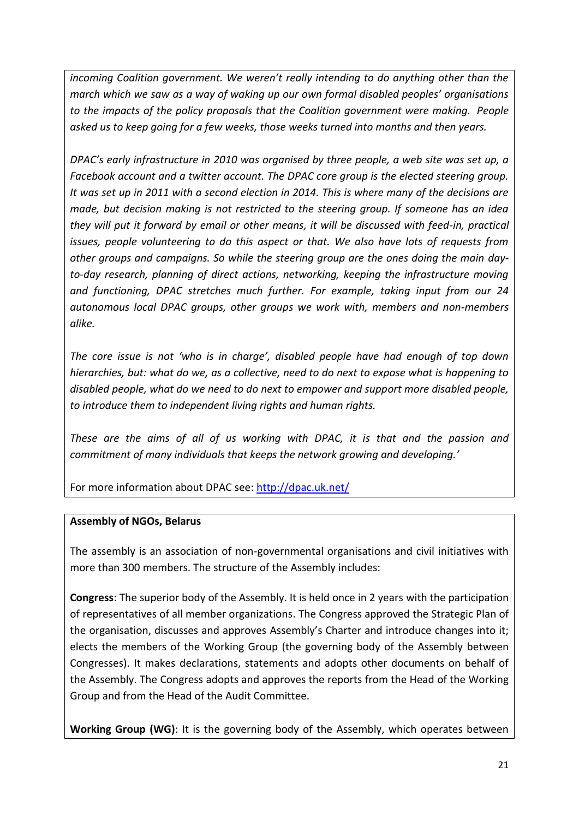*incoming Coalition government. We weren't really intending to do anything other than the march which we saw as a way of waking up our own formal disabled peoples' organisations to the impacts of the policy proposals that the Coalition government were making. People asked us to keep going for a few weeks, those weeks turned into months and then years.*

*DPAC's early infrastructure in 2010 was organised by three people, a web site was set up, a Facebook account and a twitter account. The DPAC core group is the elected steering group. It was set up in 2011 with a second election in 2014. This is where many of the decisions are made, but decision making is not restricted to the steering group. If someone has an idea they will put it forward by email or other means, it will be discussed with feed-in, practical issues, people volunteering to do this aspect or that. We also have lots of requests from other groups and campaigns. So while the steering group are the ones doing the main dayto-day research, planning of direct actions, networking, keeping the infrastructure moving and functioning, DPAC stretches much further. For example, taking input from our 24 autonomous local DPAC groups, other groups we work with, members and non-members alike.* 

*The core issue is not 'who is in charge', disabled people have had enough of top down hierarchies, but: what do we, as a collective, need to do next to expose what is happening to disabled people, what do we need to do next to empower and support more disabled people, to introduce them to independent living rights and human rights.*

*These are the aims of all of us working with DPAC, it is that and the passion and commitment of many individuals that keeps the network growing and developing.'*

For more information about DPAC see:<http://dpac.uk.net/>

### **Assembly of NGOs, Belarus**

The assembly is an association of non-governmental organisations and civil initiatives with more than 300 members. The structure of the Assembly includes:

**Congress**: The superior body of the Assembly. It is held once in 2 years with the participation of representatives of all member organizations. The Congress approved the Strategic Plan of the organisation, discusses and approves Assembly's Charter and introduce changes into it; elects the members of the Working Group (the governing body of the Assembly between Congresses). It makes declarations, statements and adopts other documents on behalf of the Assembly. The Congress adopts and approves the reports from the Head of the Working Group and from the Head of the Audit Committee.

**Working Group (WG)**: It is the governing body of the Assembly, which operates between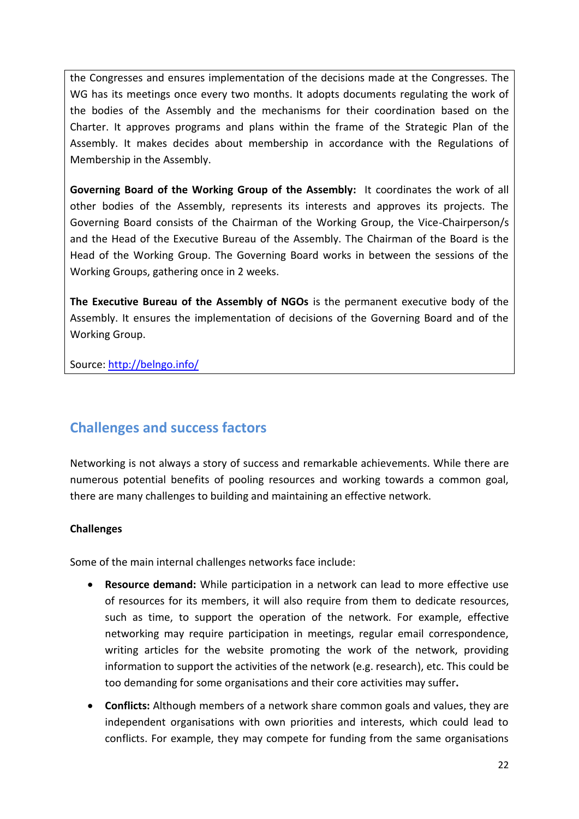the Congresses and ensures implementation of the decisions made at the Congresses. The WG has its meetings once every two months. It adopts documents regulating the work of the bodies of the Assembly and the mechanisms for their coordination based on the Charter. It approves programs and plans within the frame of the Strategic Plan of the Assembly. It makes decides about membership in accordance with the Regulations of Membership in the Assembly.

**Governing Board of the Working Group of the Assembly:** It coordinates the work of all other bodies of the Assembly, represents its interests and approves its projects. The Governing Board consists of the Chairman of the Working Group, the Vice-Chairperson/s and the Head of the Executive Bureau of the Assembly. The Chairman of the Board is the Head of the Working Group. The Governing Board works in between the sessions of the Working Groups, gathering once in 2 weeks.

**The Executive Bureau of the Assembly of NGOs** is the permanent executive body of the Assembly. It ensures the implementation of decisions of the Governing Board and of the Working Group.

<span id="page-21-0"></span>Source:<http://belngo.info/>

# **Challenges and success factors**

Networking is not always a story of success and remarkable achievements. While there are numerous potential benefits of pooling resources and working towards a common goal, there are many challenges to building and maintaining an effective network.

#### **Challenges**

Some of the main internal challenges networks face include:

- **Resource demand:** While participation in a network can lead to more effective use of resources for its members, it will also require from them to dedicate resources, such as time, to support the operation of the network. For example, effective networking may require participation in meetings, regular email correspondence, writing articles for the website promoting the work of the network, providing information to support the activities of the network (e.g. research), etc. This could be too demanding for some organisations and their core activities may suffer**.**
- **Conflicts:** Although members of a network share common goals and values, they are independent organisations with own priorities and interests, which could lead to conflicts. For example, they may compete for funding from the same organisations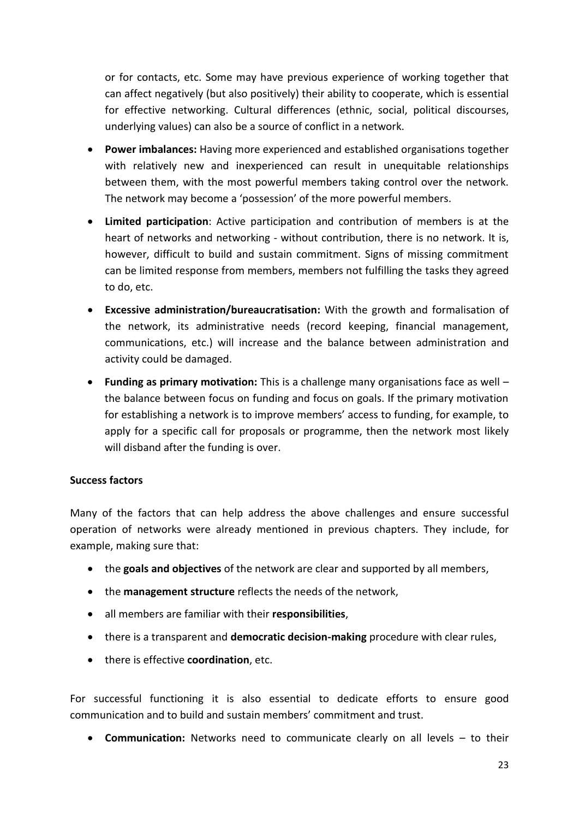or for contacts, etc. Some may have previous experience of working together that can affect negatively (but also positively) their ability to cooperate, which is essential for effective networking. Cultural differences (ethnic, social, political discourses, underlying values) can also be a source of conflict in a network.

- **Power imbalances:** Having more experienced and established organisations together with relatively new and inexperienced can result in unequitable relationships between them, with the most powerful members taking control over the network. The network may become a 'possession' of the more powerful members.
- **Limited participation**: Active participation and contribution of members is at the heart of networks and networking - without contribution, there is no network. It is, however, difficult to build and sustain commitment. Signs of missing commitment can be limited response from members, members not fulfilling the tasks they agreed to do, etc.
- **Excessive administration/bureaucratisation:** With the growth and formalisation of the network, its administrative needs (record keeping, financial management, communications, etc.) will increase and the balance between administration and activity could be damaged.
- **Funding as primary motivation:** This is a challenge many organisations face as well the balance between focus on funding and focus on goals. If the primary motivation for establishing a network is to improve members' access to funding, for example, to apply for a specific call for proposals or programme, then the network most likely will disband after the funding is over.

#### **Success factors**

Many of the factors that can help address the above challenges and ensure successful operation of networks were already mentioned in previous chapters. They include, for example, making sure that:

- the **goals and objectives** of the network are clear and supported by all members,
- the **management structure** reflects the needs of the network,
- all members are familiar with their **responsibilities**,
- there is a transparent and **democratic decision-making** procedure with clear rules,
- there is effective **coordination**, etc.

For successful functioning it is also essential to dedicate efforts to ensure good communication and to build and sustain members' commitment and trust.

**Communication:** Networks need to communicate clearly on all levels – to their